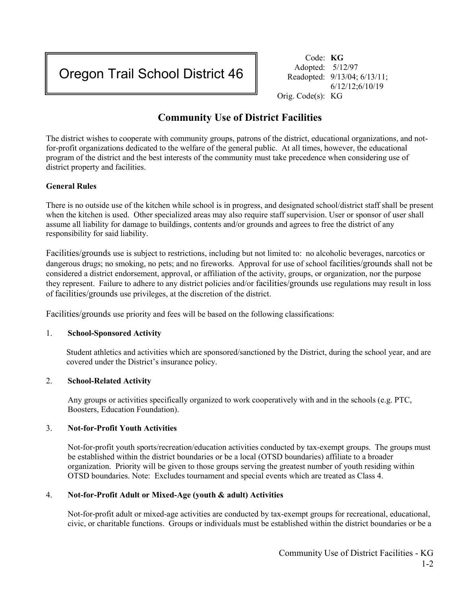# Oregon Trail School District 46

Code: **KG** Adopted: 5/12/97 Readopted: 9/13/04; 6/13/11; 6/12/12;6/10/19 Orig. Code(s): KG

## **Community Use of District Facilities**

The district wishes to cooperate with community groups, patrons of the district, educational organizations, and notfor-profit organizations dedicated to the welfare of the general public. At all times, however, the educational program of the district and the best interests of the community must take precedence when considering use of district property and facilities.

### **General Rules**

There is no outside use of the kitchen while school is in progress, and designated school/district staff shall be present when the kitchen is used. Other specialized areas may also require staff supervision. User or sponsor of user shall assume all liability for damage to buildings, contents and/or grounds and agrees to free the district of any responsibility for said liability.

Facilities/grounds use is subject to restrictions, including but not limited to: no alcoholic beverages, narcotics or dangerous drugs; no smoking, no pets; and no fireworks. Approval for use of school facilities/grounds shall not be considered a district endorsement, approval, or affiliation of the activity, groups, or organization, nor the purpose they represent. Failure to adhere to any district policies and/or facilities/grounds use regulations may result in loss of facilities/grounds use privileges, at the discretion of the district.

Facilities/grounds use priority and fees will be based on the following classifications:

#### 1. **School-Sponsored Activity**

Student athletics and activities which are sponsored/sanctioned by the District, during the school year, and are covered under the District's insurance policy.

#### 2. **School-Related Activity**

Any groups or activities specifically organized to work cooperatively with and in the schools (e.g. PTC, Boosters, Education Foundation).

#### 3. **Not-for-Profit Youth Activities**

Not-for-profit youth sports/recreation/education activities conducted by tax-exempt groups. The groups must be established within the district boundaries or be a local (OTSD boundaries) affiliate to a broader organization. Priority will be given to those groups serving the greatest number of youth residing within OTSD boundaries. Note: Excludes tournament and special events which are treated as Class 4.

#### 4. **Not-for-Profit Adult or Mixed-Age (youth & adult) Activities**

Not-for-profit adult or mixed-age activities are conducted by tax-exempt groups for recreational, educational, civic, or charitable functions. Groups or individuals must be established within the district boundaries or be a